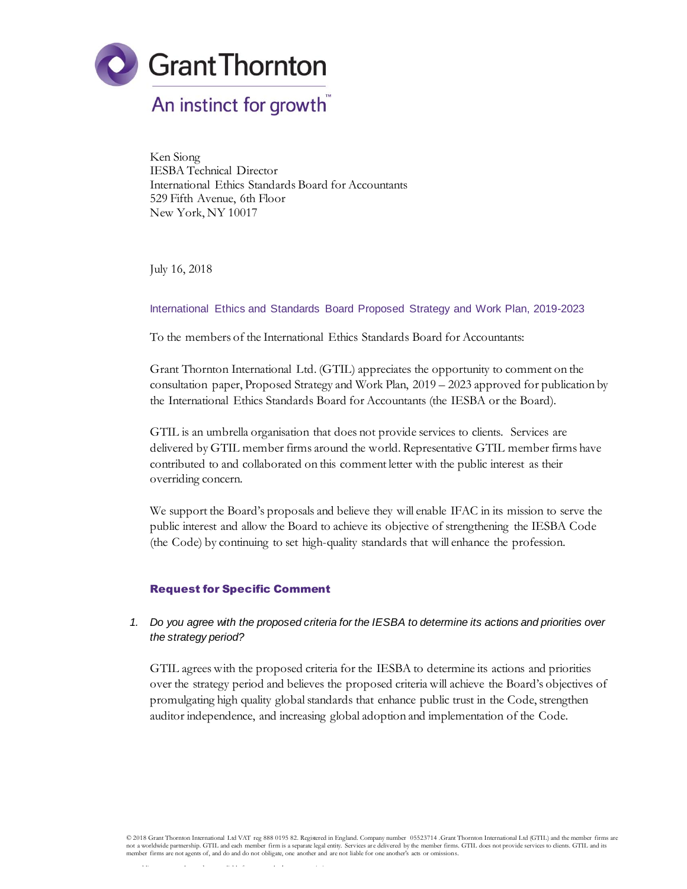

Ken Siong IESBA Technical Director International Ethics Standards Board for Accountants 529 Fifth Avenue, 6th Floor New York, NY 10017

July 16, 2018

International Ethics and Standards Board Proposed Strategy and Work Plan, 2019-2023

To the members of the International Ethics Standards Board for Accountants:

Grant Thornton International Ltd. (GTIL) appreciates the opportunity to comment on the consultation paper, Proposed Strategy and Work Plan, 2019 – 2023 approved for publication by the International Ethics Standards Board for Accountants (the IESBA or the Board).

GTIL is an umbrella organisation that does not provide services to clients. Services are delivered by GTIL member firms around the world. Representative GTIL member firms have contributed to and collaborated on this comment letter with the public interest as their overriding concern.

We support the Board's proposals and believe they will enable IFAC in its mission to serve the public interest and allow the Board to achieve its objective of strengthening the IESBA Code (the Code) by continuing to set high-quality standards that will enhance the profession.

## Request for Specific Comment

## *1. Do you agree with the proposed criteria for the IESBA to determine its actions and priorities over the strategy period?*

GTIL agrees with the proposed criteria for the IESBA to determine its actions and priorities over the strategy period and believes the proposed criteria will achieve the Board's objectives of promulgating high quality global standards that enhance public trust in the Code, strengthen auditor independence, and increasing global adoption and implementation of the Code.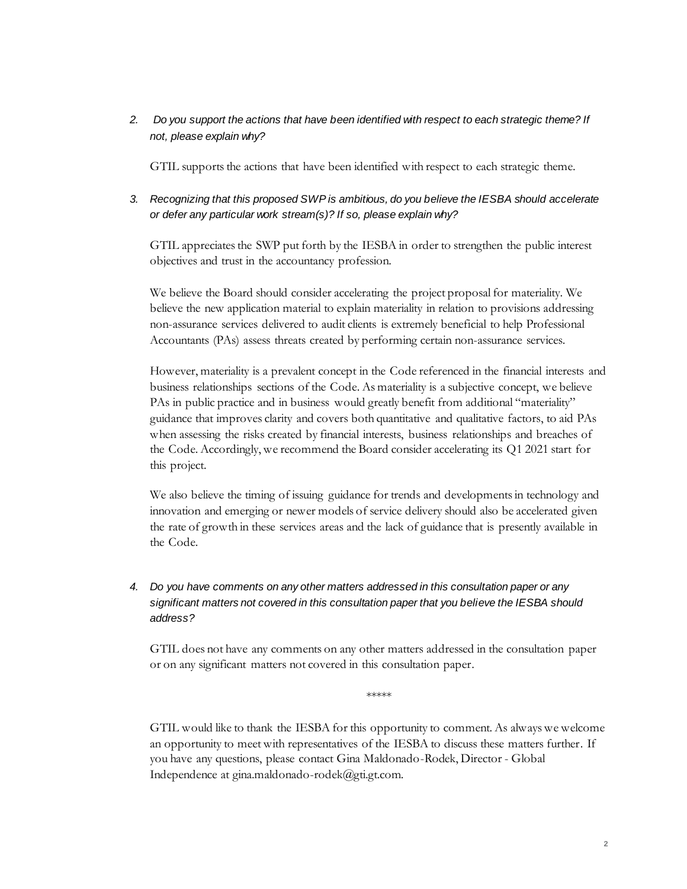*2. Do you support the actions that have been identified with respect to each strategic theme? If not, please explain why?*

GTIL supports the actions that have been identified with respect to each strategic theme.

## *3. Recognizing that this proposed SWP is ambitious, do you believe the IESBA should accelerate or defer any particular work stream(s)? If so, please explain why?*

GTIL appreciates the SWP put forth by the IESBA in order to strengthen the public interest objectives and trust in the accountancy profession.

We believe the Board should consider accelerating the project proposal for materiality. We believe the new application material to explain materiality in relation to provisions addressing non-assurance services delivered to audit clients is extremely beneficial to help Professional Accountants (PAs) assess threats created by performing certain non-assurance services.

However, materiality is a prevalent concept in the Code referenced in the financial interests and business relationships sections of the Code. As materiality is a subjective concept, we believe PAs in public practice and in business would greatly benefit from additional "materiality" guidance that improves clarity and covers both quantitative and qualitative factors, to aid PAs when assessing the risks created by financial interests, business relationships and breaches of the Code. Accordingly, we recommend the Board consider accelerating its Q1 2021 start for this project.

We also believe the timing of issuing guidance for trends and developments in technology and innovation and emerging or newer models of service delivery should also be accelerated given the rate of growth in these services areas and the lack of guidance that is presently available in the Code.

## *4. Do you have comments on any other matters addressed in this consultation paper or any significant matters not covered in this consultation paper that you believe the IESBA should address?*

GTIL does not have any comments on any other matters addressed in the consultation paper or on any significant matters not covered in this consultation paper.

\*\*\*\*\*

GTIL would like to thank the IESBA for this opportunity to comment. As always we welcome an opportunity to meet with representatives of the IESBA to discuss these matters further. If you have any questions, please contact Gina Maldonado-Rodek, Director - Global Independence at gina.maldonado-rodek@gti.gt.com.